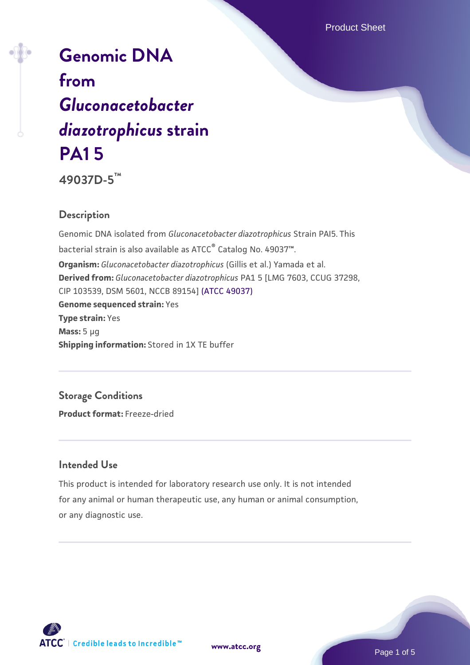# **[Genomic DNA](https://www.atcc.org/products/49037d-5) [from](https://www.atcc.org/products/49037d-5)** *[Gluconacetobacter](https://www.atcc.org/products/49037d-5) [diazotrophicus](https://www.atcc.org/products/49037d-5)* **[strain](https://www.atcc.org/products/49037d-5) [PA1 5](https://www.atcc.org/products/49037d-5)**

**49037D-5™**

#### **Description**

Genomic DNA isolated from *Gluconacetobacter diazotrophicus* Strain PAI5. This bacterial strain is also available as ATCC® Catalog No. 49037™. **Organism:** *Gluconacetobacter diazotrophicus* (Gillis et al.) Yamada et al. **Derived from:** *Gluconacetobacter diazotrophicus* PA1 5 [LMG 7603, CCUG 37298, CIP 103539, DSM 5601, NCCB 89154] [\(ATCC 49037\)](https://www.atcc.org/products/49037) **Genome sequenced strain:** Yes **Type strain:** Yes **Mass:** 5 µg **Shipping information:** Stored in 1X TE buffer

**Storage Conditions Product format:** Freeze-dried

#### **Intended Use**

This product is intended for laboratory research use only. It is not intended for any animal or human therapeutic use, any human or animal consumption, or any diagnostic use.



**[www.atcc.org](http://www.atcc.org)**

Page 1 of 5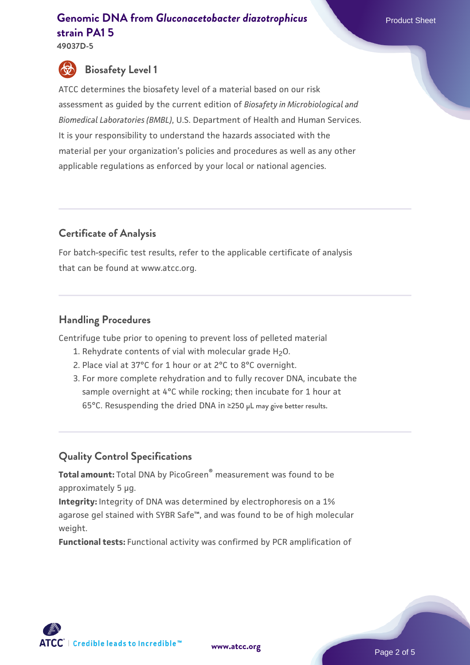**49037D-5**

## **Biosafety Level 1**

ATCC determines the biosafety level of a material based on our risk assessment as guided by the current edition of *Biosafety in Microbiological and Biomedical Laboratories (BMBL)*, U.S. Department of Health and Human Services. It is your responsibility to understand the hazards associated with the material per your organization's policies and procedures as well as any other applicable regulations as enforced by your local or national agencies.

#### **Certificate of Analysis**

For batch-specific test results, refer to the applicable certificate of analysis that can be found at www.atcc.org.

#### **Handling Procedures**

Centrifuge tube prior to opening to prevent loss of pelleted material

- 1. Rehydrate contents of vial with molecular grade H<sub>2</sub>O.
- 2. Place vial at 37°C for 1 hour or at 2°C to 8°C overnight.
- 3. For more complete rehydration and to fully recover DNA, incubate the sample overnight at 4°C while rocking; then incubate for 1 hour at 65°C. Resuspending the dried DNA in ≥250 µL may give better results.

### **Quality Control Specifications**

**Total amount:** Total DNA by PicoGreen® measurement was found to be approximately 5 µg.

**Integrity:** Integrity of DNA was determined by electrophoresis on a 1% agarose gel stained with SYBR Safe™, and was found to be of high molecular weight.

**Functional tests:** Functional activity was confirmed by PCR amplification of

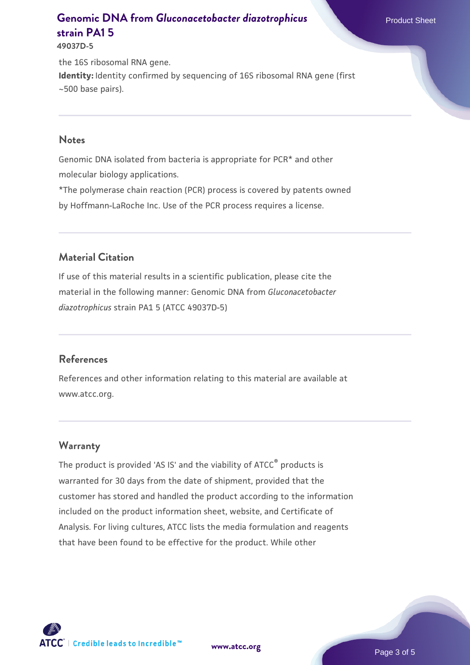**49037D-5**

the 16S ribosomal RNA gene. **Identity:** Identity confirmed by sequencing of 16S ribosomal RNA gene (first ~500 base pairs).

#### **Notes**

Genomic DNA isolated from bacteria is appropriate for PCR\* and other molecular biology applications.

\*The polymerase chain reaction (PCR) process is covered by patents owned by Hoffmann-LaRoche Inc. Use of the PCR process requires a license.

#### **Material Citation**

If use of this material results in a scientific publication, please cite the material in the following manner: Genomic DNA from *Gluconacetobacter diazotrophicus* strain PA1 5 (ATCC 49037D-5)

#### **References**

References and other information relating to this material are available at www.atcc.org.

#### **Warranty**

The product is provided 'AS IS' and the viability of ATCC® products is warranted for 30 days from the date of shipment, provided that the customer has stored and handled the product according to the information included on the product information sheet, website, and Certificate of Analysis. For living cultures, ATCC lists the media formulation and reagents that have been found to be effective for the product. While other



**[www.atcc.org](http://www.atcc.org)**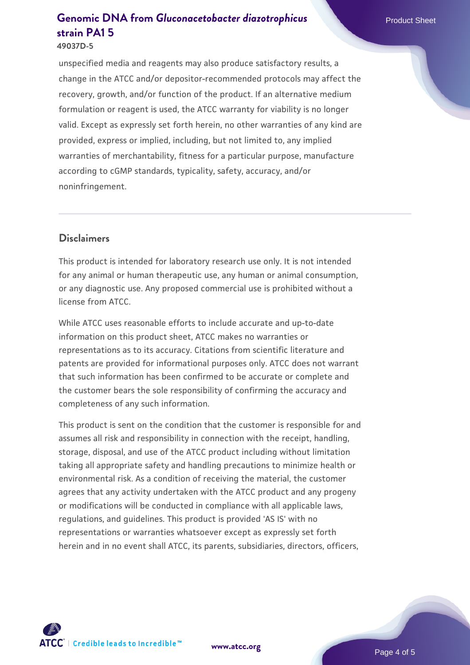#### **49037D-5**

unspecified media and reagents may also produce satisfactory results, a change in the ATCC and/or depositor-recommended protocols may affect the recovery, growth, and/or function of the product. If an alternative medium formulation or reagent is used, the ATCC warranty for viability is no longer valid. Except as expressly set forth herein, no other warranties of any kind are provided, express or implied, including, but not limited to, any implied warranties of merchantability, fitness for a particular purpose, manufacture according to cGMP standards, typicality, safety, accuracy, and/or noninfringement.

#### **Disclaimers**

This product is intended for laboratory research use only. It is not intended for any animal or human therapeutic use, any human or animal consumption, or any diagnostic use. Any proposed commercial use is prohibited without a license from ATCC.

While ATCC uses reasonable efforts to include accurate and up-to-date information on this product sheet, ATCC makes no warranties or representations as to its accuracy. Citations from scientific literature and patents are provided for informational purposes only. ATCC does not warrant that such information has been confirmed to be accurate or complete and the customer bears the sole responsibility of confirming the accuracy and completeness of any such information.

This product is sent on the condition that the customer is responsible for and assumes all risk and responsibility in connection with the receipt, handling, storage, disposal, and use of the ATCC product including without limitation taking all appropriate safety and handling precautions to minimize health or environmental risk. As a condition of receiving the material, the customer agrees that any activity undertaken with the ATCC product and any progeny or modifications will be conducted in compliance with all applicable laws, regulations, and guidelines. This product is provided 'AS IS' with no representations or warranties whatsoever except as expressly set forth herein and in no event shall ATCC, its parents, subsidiaries, directors, officers,